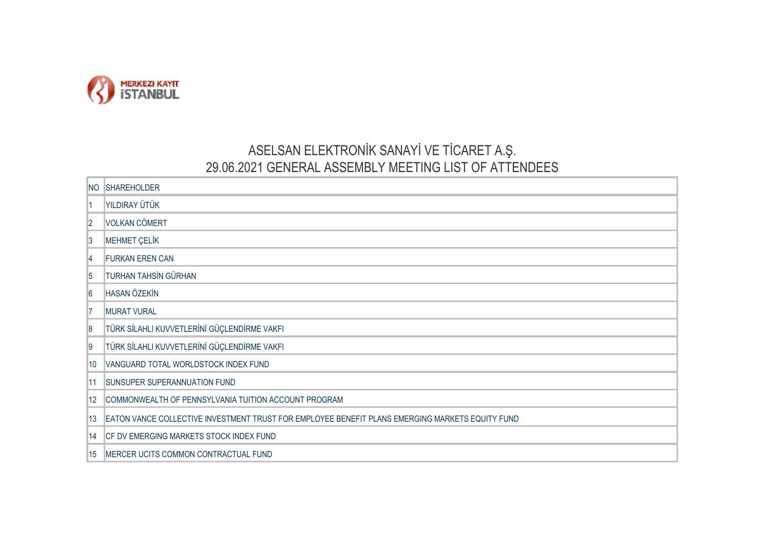

## ASELSAN ELEKTRONİK SANAYİ VE TİCARET A.Ş. 29.06.2021 GENERAL ASSEMBLY MEETING LIST OF ATTENDEES

| <b>NO</b>      | <b>SHAREHOLDER</b>                                                                              |
|----------------|-------------------------------------------------------------------------------------------------|
|                | YILDIRAY ÜTÜK                                                                                   |
| $\overline{2}$ | <b>VOLKAN CÖMERT</b>                                                                            |
| 13             | <b>MEHMET ÇELİK</b>                                                                             |
| 14             | <b>FURKAN EREN CAN</b>                                                                          |
| 5              | <b>TURHAN TAHSİN GÜRHAN</b>                                                                     |
| 6              | <b>HASAN ÖZEKİN</b>                                                                             |
| 17             | <b>MURAT VURAL</b>                                                                              |
| 18             | TÜRK SİLAHLI KUVVETLERİNİ GÜÇLENDİRME VAKFI                                                     |
| 19             | TÜRK SİLAHLI KUVVETLERİNİ GÜÇLENDİRME VAKFI                                                     |
| 10             | VANGUARD TOTAL WORLDSTOCK INDEX FUND                                                            |
| 11             | SUNSUPER SUPERANNUATION FUND                                                                    |
| 12             | COMMONWEALTH OF PENNSYLVANIA TUITION ACCOUNT PROGRAM                                            |
| 13             | EATON VANCE COLLECTIVE INVESTMENT TRUST FOR EMPLOYEE BENEFIT PLANS EMERGING MARKETS EQUITY FUND |
| 14             | CF DV EMERGING MARKETS STOCK INDEX FUND                                                         |
| 15             | MERCER UCITS COMMON CONTRACTUAL FUND                                                            |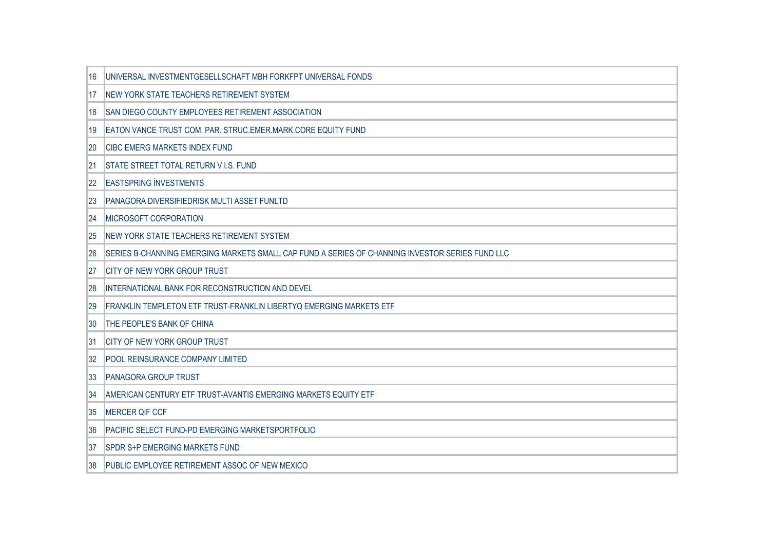| 16                | UNIVERSAL INVESTMENTGESELLSCHAFT MBH FORKFPT UNIVERSAL FONDS                                    |
|-------------------|-------------------------------------------------------------------------------------------------|
| 17                | NEW YORK STATE TEACHERS RETIREMENT SYSTEM                                                       |
| 18                | SAN DIEGO COUNTY EMPLOYEES RETIREMENT ASSOCIATION                                               |
| 19                | EATON VANCE TRUST COM. PAR. STRUC.EMER.MARK.CORE EQUITY FUND                                    |
| 20                | <b>CIBC EMERG MARKETS INDEX FUND</b>                                                            |
| 21                | STATE STREET TOTAL RETURN V.I.S. FUND                                                           |
| $22 \overline{ }$ | <b>EASTSPRING INVESTMENTS</b>                                                                   |
| 23                | PANAGORA DIVERSIFIEDRISK MULTI ASSET FUNLTD                                                     |
| 24                | <b>MICROSOFT CORPORATION</b>                                                                    |
| 25                | NEW YORK STATE TEACHERS RETIREMENT SYSTEM                                                       |
| 26                | SERIES B-CHANNING EMERGING MARKETS SMALL CAP FUND A SERIES OF CHANNING INVESTOR SERIES FUND LLC |
| 127               | CITY OF NEW YORK GROUP TRUST                                                                    |
| 28                | INTERNATIONAL BANK FOR RECONSTRUCTION AND DEVEL                                                 |
| 29                | FRANKLIN TEMPLETON ETF TRUST-FRANKLIN LIBERTYQ EMERGING MARKETS ETF                             |
| 30                | THE PEOPLE'S BANK OF CHINA                                                                      |
| 31                | <b>CITY OF NEW YORK GROUP TRUST</b>                                                             |
| 32                | <b>POOL REINSURANCE COMPANY LIMITED</b>                                                         |
| 33                | <b>PANAGORA GROUP TRUST</b>                                                                     |
| 34                | AMERICAN CENTURY ETF TRUST-AVANTIS EMERGING MARKETS EQUITY ETF                                  |
| 135               | <b>MERCER QIF CCF</b>                                                                           |
| 36                | PACIFIC SELECT FUND-PD EMERGING MARKETSPORTFOLIO                                                |
| 37                | <b>SPDR S+P EMERGING MARKETS FUND</b>                                                           |
| 38                | PUBLIC EMPLOYEE RETIREMENT ASSOC OF NEW MEXICO                                                  |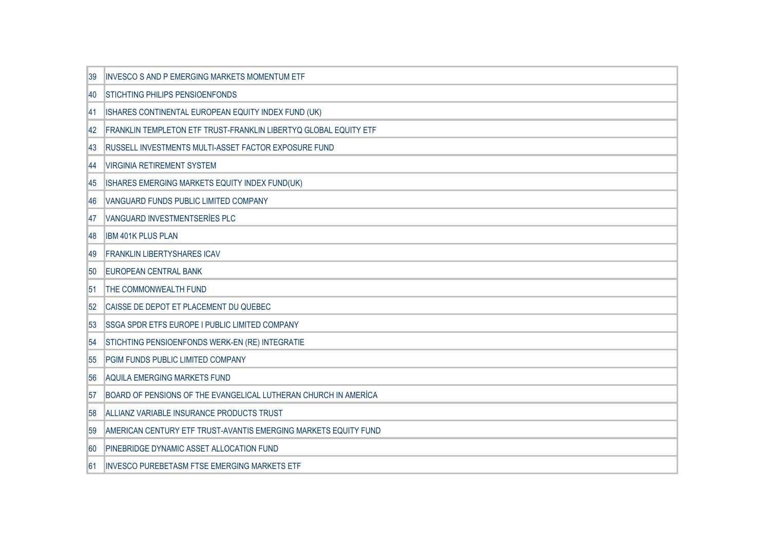| 39  | <b>INVESCO S AND P EMERGING MARKETS MOMENTUM ETF</b>             |
|-----|------------------------------------------------------------------|
| 40  | <b>STICHTING PHILIPS PENSIOENFONDS</b>                           |
| 141 | ISHARES CONTINENTAL EUROPEAN EQUITY INDEX FUND (UK)              |
| 42  | FRANKLIN TEMPLETON ETF TRUST-FRANKLIN LIBERTYQ GLOBAL EQUITY ETF |
| 43  | RUSSELL INVESTMENTS MULTI-ASSET FACTOR EXPOSURE FUND             |
| 144 | <b>VIRGINIA RETIREMENT SYSTEM</b>                                |
| 145 | ISHARES EMERGING MARKETS EQUITY INDEX FUND(UK)                   |
| 146 | VANGUARD FUNDS PUBLIC LIMITED COMPANY                            |
| 147 | VANGUARD INVESTMENTSERIES PLC                                    |
| 148 | <b>IBM 401K PLUS PLAN</b>                                        |
| 149 | <b>FRANKLIN LIBERTYSHARES ICAV</b>                               |
| 150 | <b>EUROPEAN CENTRAL BANK</b>                                     |
| 51  | <b>THE COMMONWEALTH FUND</b>                                     |
| 52  | CAISSE DE DEPOT ET PLACEMENT DU QUEBEC                           |
| 53  | <b>SSGA SPDR ETFS EUROPE I PUBLIC LIMITED COMPANY</b>            |
| 54  | STICHTING PENSIOENFONDS WERK-EN (RE) INTEGRATIE                  |
| 55  | PGIM FUNDS PUBLIC LIMITED COMPANY                                |
| 56  | AQUILA EMERGING MARKETS FUND                                     |
| 157 | BOARD OF PENSIONS OF THE EVANGELICAL LUTHERAN CHURCH IN AMERICA  |
| 58  | ALLIANZ VARIABLE INSURANCE PRODUCTS TRUST                        |
| 59  | AMERICAN CENTURY ETF TRUST-AVANTIS EMERGING MARKETS EQUITY FUND  |
| 160 | PINEBRIDGE DYNAMIC ASSET ALLOCATION FUND                         |
| 161 | <b>INVESCO PUREBETASM FTSE EMERGING MARKETS ETF</b>              |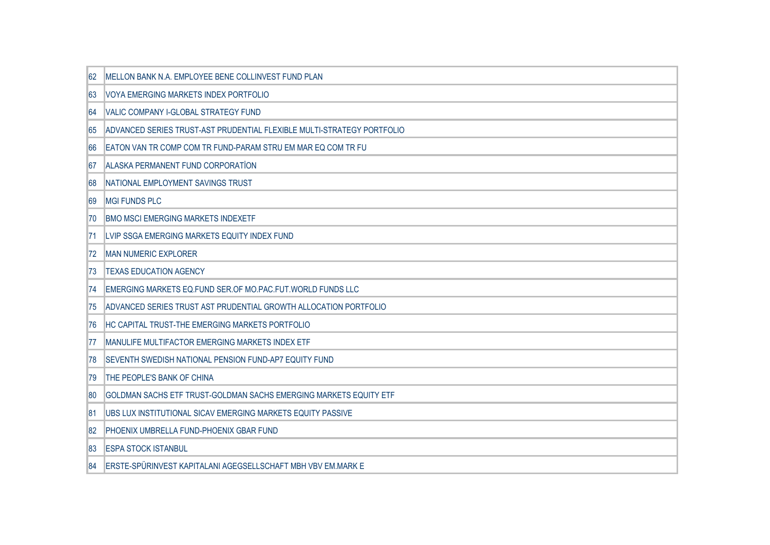| 62  | MELLON BANK N.A. EMPLOYEE BENE COLLINVEST FUND PLAN                    |
|-----|------------------------------------------------------------------------|
| 63  | VOYA EMERGING MARKETS INDEX PORTFOLIO                                  |
| 64  | <b>VALIC COMPANY I-GLOBAL STRATEGY FUND</b>                            |
| 65  | ADVANCED SERIES TRUST-AST PRUDENTIAL FLEXIBLE MULTI-STRATEGY PORTFOLIO |
| 66  | EATON VAN TR COMP COM TR FUND-PARAM STRU EM MAR EQ COM TR FU           |
| 67  | <b>ALASKA PERMANENT FUND CORPORATION</b>                               |
| 68  | NATIONAL EMPLOYMENT SAVINGS TRUST                                      |
| 69  | <b>MGI FUNDS PLC</b>                                                   |
| 170 | <b>BMO MSCI EMERGING MARKETS INDEXETF</b>                              |
| 71  | LVIP SSGA EMERGING MARKETS EQUITY INDEX FUND                           |
| 72  | <b>MAN NUMERIC EXPLORER</b>                                            |
| 173 | <b>TEXAS EDUCATION AGENCY</b>                                          |
| 74  | EMERGING MARKETS EQ.FUND SER.OF MO.PAC.FUT.WORLD FUNDS LLC             |
| 75  | ADVANCED SERIES TRUST AST PRUDENTIAL GROWTH ALLOCATION PORTFOLIO       |
| 176 | HC CAPITAL TRUST-THE EMERGING MARKETS PORTFOLIO                        |
| 177 | MANULIFE MULTIFACTOR EMERGING MARKETS INDEX ETF                        |
| 178 | SEVENTH SWEDISH NATIONAL PENSION FUND-AP7 EQUITY FUND                  |
| 179 | THE PEOPLE'S BANK OF CHINA                                             |
| 180 | GOLDMAN SACHS ETF TRUST-GOLDMAN SACHS EMERGING MARKETS EQUITY ETF      |
| 181 | UBS LUX INSTITUTIONAL SICAV EMERGING MARKETS EQUITY PASSIVE            |
| 82  | PHOENIX UMBRELLA FUND-PHOENIX GBAR FUND                                |
| 83  | <b>ESPA STOCK ISTANBUL</b>                                             |
| 84  | ERSTE-SPÜRINVEST KAPITALANI AGEGSELLSCHAFT MBH VBV EM.MARK E           |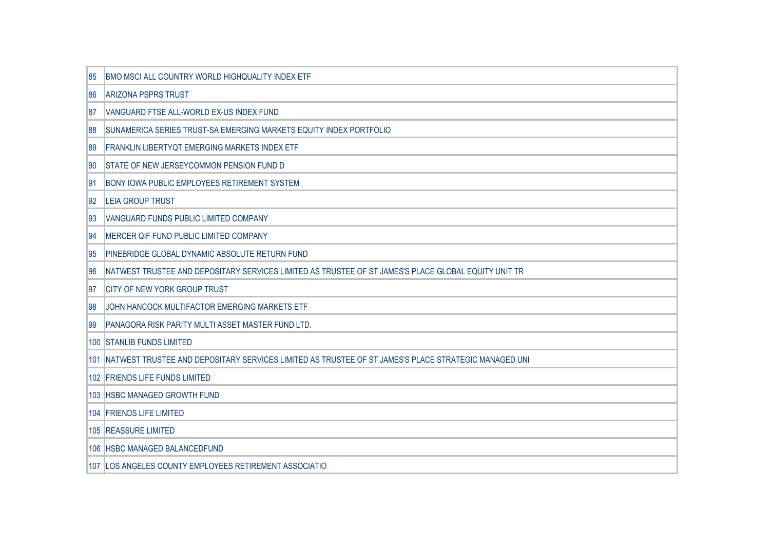| 85        | BMO MSCI ALL COUNTRY WORLD HIGHQUALITY INDEX ETF                                                     |
|-----------|------------------------------------------------------------------------------------------------------|
| 86        | <b>ARIZONA PSPRS TRUST</b>                                                                           |
| 187       | VANGUARD FTSE ALL-WORLD EX-US INDEX FUND                                                             |
| 88        | SUNAMERICA SERIES TRUST-SA EMERGING MARKETS EQUITY INDEX PORTFOLIO                                   |
| 89        | FRANKLIN LIBERTYQT EMERGING MARKETS INDEX ETF                                                        |
| 190       | <b>STATE OF NEW JERSEYCOMMON PENSION FUND D</b>                                                      |
| 191       | <b>BONY IOWA PUBLIC EMPLOYEES RETIREMENT SYSTEM</b>                                                  |
| 92        | <b>LEIA GROUP TRUST</b>                                                                              |
| 93        | VANGUARD FUNDS PUBLIC LIMITED COMPANY                                                                |
| 194       | MERCER QIF FUND PUBLIC LIMITED COMPANY                                                               |
| <b>95</b> | PINEBRIDGE GLOBAL DYNAMIC ABSOLUTE RETURN FUND                                                       |
| 96        | NATWEST TRUSTEE AND DEPOSITARY SERVICES LIMITED AS TRUSTEE OF ST JAMES'S PLACE GLOBAL EQUITY UNIT TR |
| 97        | CITY OF NEW YORK GROUP TRUST                                                                         |
| 198       | JOHN HANCOCK MULTIFACTOR EMERGING MARKETS ETF                                                        |
| 99        | PANAGORA RISK PARITY MULTI ASSET MASTER FUND LTD.                                                    |
|           | 100 STANLIB FUNDS LIMITED                                                                            |
| 101       | NATWEST TRUSTEE AND DEPOSITARY SERVICES LIMITED AS TRUSTEE OF ST JAMES'S PLACE STRATEGIC MANAGED UNI |
|           | 102 FRIENDS LIFE FUNDS LIMITED                                                                       |
|           | 103 HSBC MANAGED GROWTH FUND                                                                         |
|           | 104 FRIENDS LIFE LIMITED                                                                             |
|           | 105 REASSURE LIMITED                                                                                 |
|           | 106 HSBC MANAGED BALANCEDFUND                                                                        |
|           | 107 LOS ANGELES COUNTY EMPLOYEES RETIREMENT ASSOCIATIO                                               |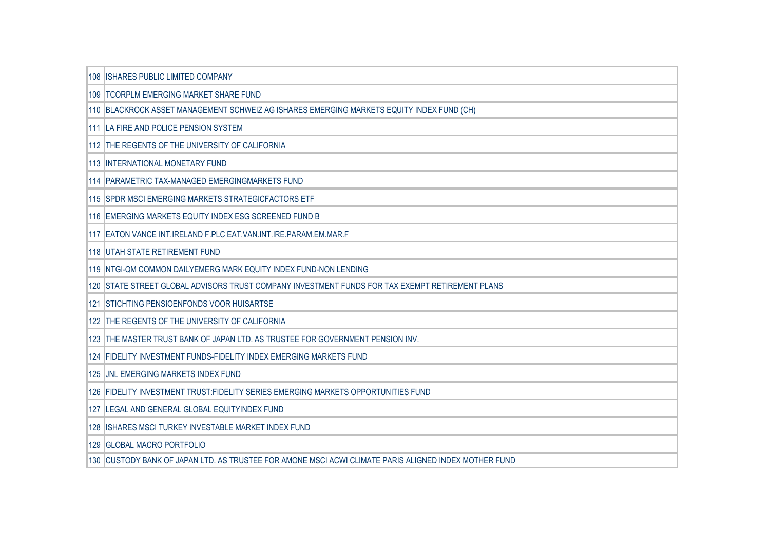| 108 ISHARES PUBLIC LIMITED COMPANY                                                                    |
|-------------------------------------------------------------------------------------------------------|
| 109 TCORPLM EMERGING MARKET SHARE FUND                                                                |
| 110 BLACKROCK ASSET MANAGEMENT SCHWEIZ AG ISHARES EMERGING MARKETS EQUITY INDEX FUND (CH)             |
| 111 LA FIRE AND POLICE PENSION SYSTEM                                                                 |
| 112 THE REGENTS OF THE UNIVERSITY OF CALIFORNIA                                                       |
| 113 INTERNATIONAL MONETARY FUND                                                                       |
| 114 PARAMETRIC TAX-MANAGED EMERGINGMARKETS FUND                                                       |
| 115 SPDR MSCI EMERGING MARKETS STRATEGICFACTORS ETF                                                   |
| 116 EMERGING MARKETS EQUITY INDEX ESG SCREENED FUND B                                                 |
| 117 EATON VANCE INT.IRELAND F.PLC EAT.VAN.INT.IRE.PARAM.EM.MAR.F                                      |
| 118 UTAH STATE RETIREMENT FUND                                                                        |
| 119 NTGI-QM COMMON DAILYEMERG MARK EQUITY INDEX FUND-NON LENDING                                      |
| 120 STATE STREET GLOBAL ADVISORS TRUST COMPANY INVESTMENT FUNDS FOR TAX EXEMPT RETIREMENT PLANS       |
| 121 STICHTING PENSIOENFONDS VOOR HUISARTSE                                                            |
| 122 THE REGENTS OF THE UNIVERSITY OF CALIFORNIA                                                       |
| 123 THE MASTER TRUST BANK OF JAPAN LTD. AS TRUSTEE FOR GOVERNMENT PENSION INV.                        |
| 124 FIDELITY INVESTMENT FUNDS-FIDELITY INDEX EMERGING MARKETS FUND                                    |
| 125 JNL EMERGING MARKETS INDEX FUND                                                                   |
| 126 FIDELITY INVESTMENT TRUST:FIDELITY SERIES EMERGING MARKETS OPPORTUNITIES FUND                     |
| 127 LEGAL AND GENERAL GLOBAL EQUITYINDEX FUND                                                         |
| 128 ISHARES MSCI TURKEY INVESTABLE MARKET INDEX FUND                                                  |
| 129 GLOBAL MACRO PORTFOLIO                                                                            |
| 130 CUSTODY BANK OF JAPAN LTD. AS TRUSTEE FOR AMONE MSCI ACWI CLIMATE PARIS ALIGNED INDEX MOTHER FUND |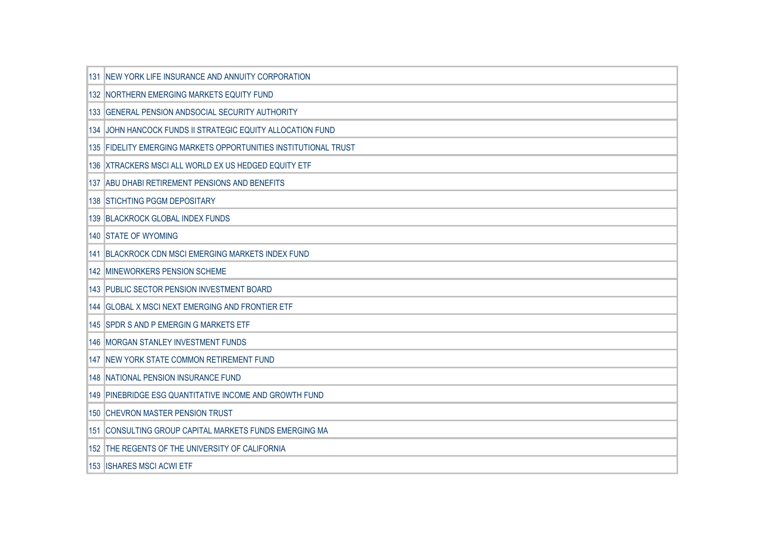| 131 NEW YORK LIFE INSURANCE AND ANNUITY CORPORATION             |
|-----------------------------------------------------------------|
| 132 NORTHERN EMERGING MARKETS EQUITY FUND                       |
| 133 GENERAL PENSION ANDSOCIAL SECURITY AUTHORITY                |
| 134 JOHN HANCOCK FUNDS II STRATEGIC EQUITY ALLOCATION FUND      |
| 135 FIDELITY EMERGING MARKETS OPPORTUNITIES INSTITUTIONAL TRUST |
| 136 XTRACKERS MSCI ALL WORLD EX US HEDGED EQUITY ETF            |
| 137 ABU DHABI RETIREMENT PENSIONS AND BENEFITS                  |
| 138 STICHTING PGGM DEPOSITARY                                   |
| 139 BLACKROCK GLOBAL INDEX FUNDS                                |
| 140 STATE OF WYOMING                                            |
| 141 BLACKROCK CDN MSCI EMERGING MARKETS INDEX FUND              |
| 142 MINEWORKERS PENSION SCHEME                                  |
| 143 PUBLIC SECTOR PENSION INVESTMENT BOARD                      |
| 144 GLOBAL X MSCI NEXT EMERGING AND FRONTIER ETF                |
| 145 SPDR S AND P EMERGIN G MARKETS ETF                          |
| 146 MORGAN STANLEY INVESTMENT FUNDS                             |
| 147 NEW YORK STATE COMMON RETIREMENT FUND                       |
| 148 NATIONAL PENSION INSURANCE FUND                             |
| 149 PINEBRIDGE ESG QUANTITATIVE INCOME AND GROWTH FUND          |
| 150 CHEVRON MASTER PENSION TRUST                                |
| 151 CONSULTING GROUP CAPITAL MARKETS FUNDS EMERGING MA          |
| 152 THE REGENTS OF THE UNIVERSITY OF CALIFORNIA                 |
| 153 ISHARES MSCI ACWI ETF                                       |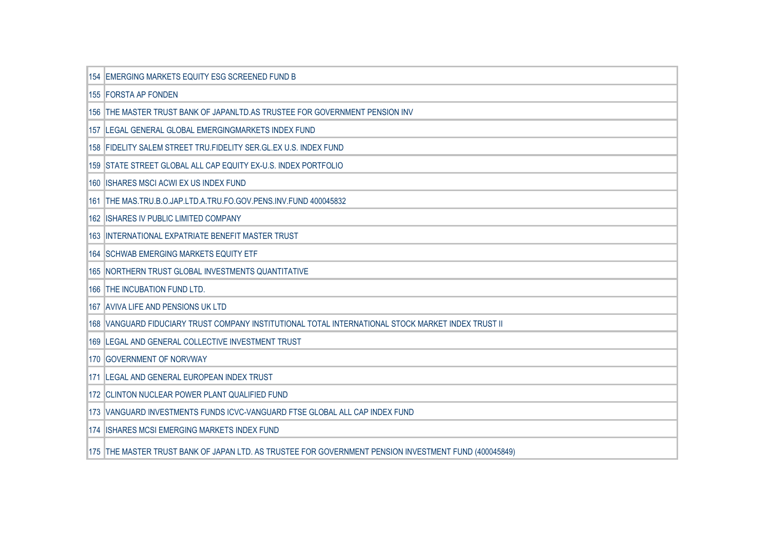| 154 EMERGING MARKETS EQUITY ESG SCREENED FUND B                                                       |
|-------------------------------------------------------------------------------------------------------|
| 155 FORSTA AP FONDEN                                                                                  |
| 156 THE MASTER TRUST BANK OF JAPANLTD.AS TRUSTEE FOR GOVERNMENT PENSION INV                           |
| 157 LEGAL GENERAL GLOBAL EMERGINGMARKETS INDEX FUND                                                   |
| 158 FIDELITY SALEM STREET TRU.FIDELITY SER.GL.EX U.S. INDEX FUND                                      |
| 159 STATE STREET GLOBAL ALL CAP EQUITY EX-U.S. INDEX PORTFOLIO                                        |
| 160 ISHARES MSCI ACWI EX US INDEX FUND                                                                |
| 161 THE MAS.TRU.B.O.JAP.LTD.A.TRU.FO.GOV.PENS.INV.FUND 400045832                                      |
| 162 ISHARES IV PUBLIC LIMITED COMPANY                                                                 |
| 163 INTERNATIONAL EXPATRIATE BENEFIT MASTER TRUST                                                     |
| 164 SCHWAB EMERGING MARKETS EQUITY ETF                                                                |
| 165 NORTHERN TRUST GLOBAL INVESTMENTS QUANTITATIVE                                                    |
| 166 THE INCUBATION FUND LTD.                                                                          |
| 167 AVIVA LIFE AND PENSIONS UK LTD                                                                    |
| 168 VANGUARD FIDUCIARY TRUST COMPANY INSTITUTIONAL TOTAL INTERNATIONAL STOCK MARKET INDEX TRUST II    |
| 169 LEGAL AND GENERAL COLLECTIVE INVESTMENT TRUST                                                     |
| 170 GOVERNMENT OF NORVWAY                                                                             |
| 171 LEGAL AND GENERAL EUROPEAN INDEX TRUST                                                            |
| 172 CLINTON NUCLEAR POWER PLANT QUALIFIED FUND                                                        |
| 173 VANGUARD INVESTMENTS FUNDS ICVC-VANGUARD FTSE GLOBAL ALL CAP INDEX FUND                           |
| 174 ISHARES MCSI EMERGING MARKETS INDEX FUND                                                          |
| 175 THE MASTER TRUST BANK OF JAPAN LTD. AS TRUSTEE FOR GOVERNMENT PENSION INVESTMENT FUND (400045849) |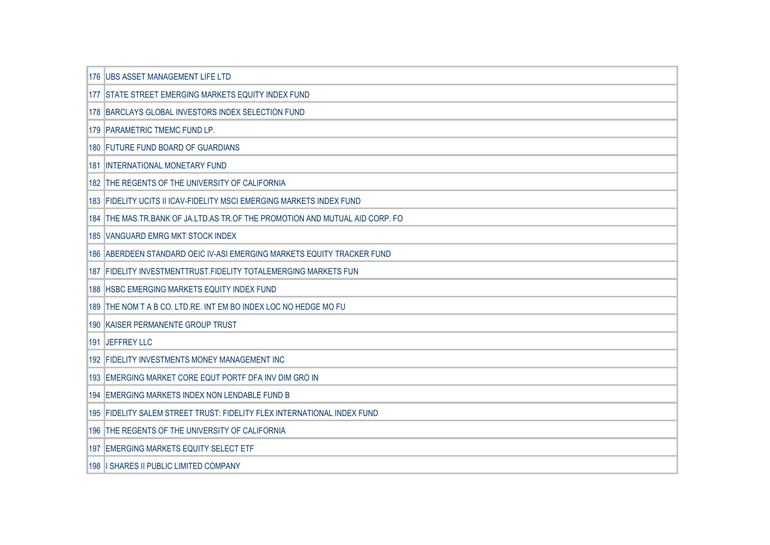| 176 UBS ASSET MANAGEMENT LIFE LTD                                            |
|------------------------------------------------------------------------------|
| 177 ISTATE STREET EMERGING MARKETS EQUITY INDEX FUND                         |
| 178 BARCLAYS GLOBAL INVESTORS INDEX SELECTION FUND                           |
| 179 PARAMETRIC TMEMC FUND LP.                                                |
| 180 FUTURE FUND BOARD OF GUARDIANS                                           |
| <b>181 INTERNATIONAL MONETARY FUND</b>                                       |
| 182 THE REGENTS OF THE UNIVERSITY OF CALIFORNIA                              |
| 183 FIDELITY UCITS II ICAV-FIDELITY MSCI EMERGING MARKETS INDEX FUND         |
| 184 THE MAS TR BANK OF JA LTD AS TR OF THE PROMOTION AND MUTUAL AID CORP. FO |
| 185 VANGUARD EMRG MKT STOCK INDEX                                            |
| 186 ABERDEEN STANDARD OEIC IV-ASI EMERGING MARKETS EQUITY TRACKER FUND       |
| 187 FIDELITY INVESTMENTTRUST.FIDELITY TOTALEMERGING MARKETS FUN              |
| 188 HSBC EMERGING MARKETS EQUITY INDEX FUND                                  |
| 189 THE NOM T A B CO. LTD.RE. INT EM BO INDEX LOC NO HEDGE MO FU             |
| 190 KAISER PERMANENTE GROUP TRUST                                            |
| 191 JEFFREY LLC                                                              |
| 192 FIDELITY INVESTMENTS MONEY MANAGEMENT INC                                |
| 193 EMERGING MARKET CORE EQUT PORTF DFA INV DIM GRO IN                       |
| 194 EMERGING MARKETS INDEX NON LENDABLE FUND B                               |
| 195   FIDELITY SALEM STREET TRUST: FIDELITY FLEX INTERNATIONAL INDEX FUND    |
| 196 THE REGENTS OF THE UNIVERSITY OF CALIFORNIA                              |
| 197 EMERGING MARKETS EQUITY SELECT ETF                                       |
| 198   SHARES II PUBLIC LIMITED COMPANY                                       |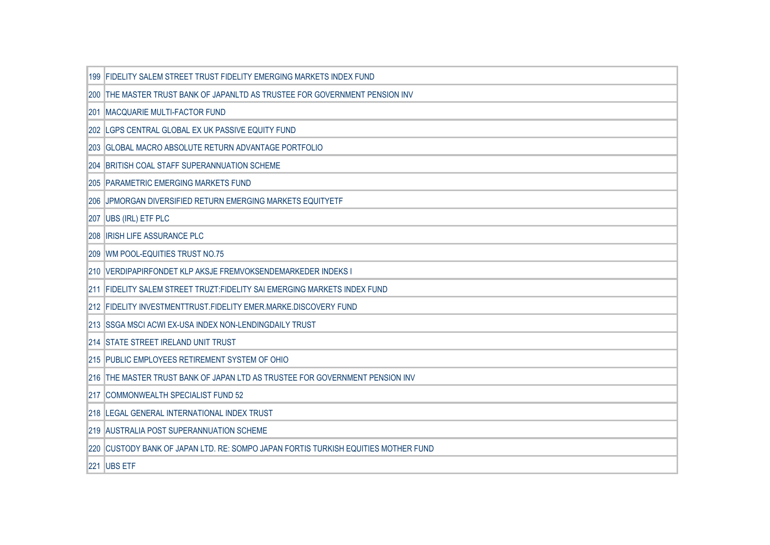|            | 199 FIDELITY SALEM STREET TRUST FIDELITY EMERGING MARKETS INDEX FUND               |
|------------|------------------------------------------------------------------------------------|
|            | 200 THE MASTER TRUST BANK OF JAPANLTD AS TRUSTEE FOR GOVERNMENT PENSION INV        |
| <b>201</b> | MACQUARIE MULTI-FACTOR FUND                                                        |
|            | 202 LGPS CENTRAL GLOBAL EX UK PASSIVE EQUITY FUND                                  |
|            | 203 GLOBAL MACRO ABSOLUTE RETURN ADVANTAGE PORTFOLIO                               |
|            | 204 BRITISH COAL STAFF SUPERANNUATION SCHEME                                       |
|            | <b>205 PARAMETRIC EMERGING MARKETS FUND</b>                                        |
|            | 206 JPMORGAN DIVERSIFIED RETURN EMERGING MARKETS EQUITYETF                         |
|            | 207 UBS (IRL) ETF PLC                                                              |
|            | 208   IRISH LIFE ASSURANCE PLC                                                     |
|            | 209 WM POOL-EQUITIES TRUST NO.75                                                   |
|            | 210 VERDIPAPIRFONDET KLP AKSJE FREMVOKSENDEMARKEDER INDEKS I                       |
|            | 211 FIDELITY SALEM STREET TRUZT: FIDELITY SAI EMERGING MARKETS INDEX FUND          |
|            | 212 FIDELITY INVESTMENTTRUST.FIDELITY EMER.MARKE.DISCOVERY FUND                    |
|            | 213 SSGA MSCI ACWI EX-USA INDEX NON-LENDINGDAILY TRUST                             |
|            | 214 STATE STREET IRELAND UNIT TRUST                                                |
|            | 215 PUBLIC EMPLOYEES RETIREMENT SYSTEM OF OHIO                                     |
|            | 216 THE MASTER TRUST BANK OF JAPAN LTD AS TRUSTEE FOR GOVERNMENT PENSION INV       |
|            | 217 COMMONWEALTH SPECIALIST FUND 52                                                |
|            | 218 LEGAL GENERAL INTERNATIONAL INDEX TRUST                                        |
|            | 219 AUSTRALIA POST SUPERANNUATION SCHEME                                           |
|            | 220 CUSTODY BANK OF JAPAN LTD. RE: SOMPO JAPAN FORTIS TURKISH EQUITIES MOTHER FUND |
|            | 221 UBS ETF                                                                        |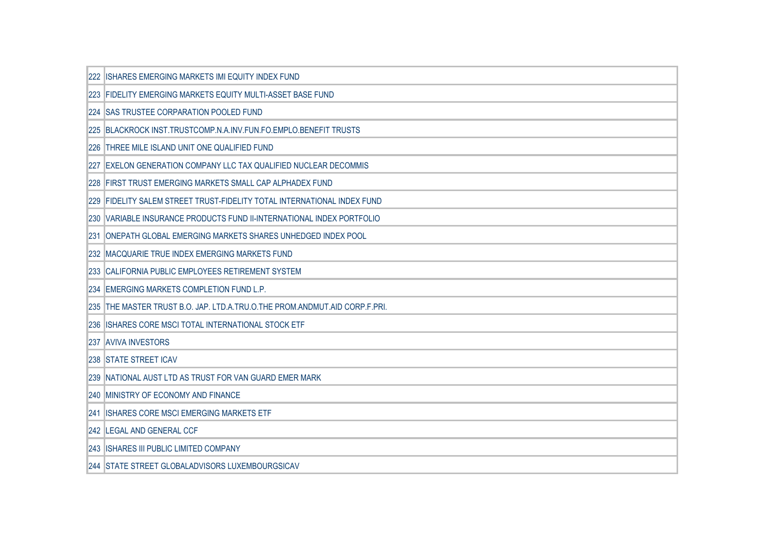|     | <b>ISHARES EMERGING MARKETS IMI EQUITY INDEX FUND</b>                      |
|-----|----------------------------------------------------------------------------|
|     | 223 FIDELITY EMERGING MARKETS EQUITY MULTI-ASSET BASE FUND                 |
|     | 224 SAS TRUSTEE CORPARATION POOLED FUND                                    |
|     | 225 BLACKROCK INST.TRUSTCOMP.N.A.INV.FUN.FO.EMPLO.BENEFIT TRUSTS           |
|     | 226 THREE MILE ISLAND UNIT ONE QUALIFIED FUND                              |
| 227 | EXELON GENERATION COMPANY LLC TAX QUALIFIED NUCLEAR DECOMMIS               |
|     | 228 FIRST TRUST EMERGING MARKETS SMALL CAP ALPHADEX FUND                   |
| 229 | FIDELITY SALEM STREET TRUST-FIDELITY TOTAL INTERNATIONAL INDEX FUND        |
| 230 | VARIABLE INSURANCE PRODUCTS FUND II-INTERNATIONAL INDEX PORTFOLIO          |
|     | 231 ONEPATH GLOBAL EMERGING MARKETS SHARES UNHEDGED INDEX POOL             |
|     | 232 MACQUARIE TRUE INDEX EMERGING MARKETS FUND                             |
|     | 233 CALIFORNIA PUBLIC EMPLOYEES RETIREMENT SYSTEM                          |
|     | 234 EMERGING MARKETS COMPLETION FUND L.P.                                  |
|     | 235 THE MASTER TRUST B.O. JAP. LTD.A.TRU.O.THE PROM.ANDMUT.AID CORP.F.PRI. |
|     | 236 ISHARES CORE MSCI TOTAL INTERNATIONAL STOCK ETF                        |
|     | <b>237 AVIVA INVESTORS</b>                                                 |
|     | <b>238 STATE STREET ICAV</b>                                               |
|     | 239 NATIONAL AUST LTD AS TRUST FOR VAN GUARD EMER MARK                     |
|     | 240 MINISTRY OF ECONOMY AND FINANCE                                        |
| 241 | <b>IISHARES CORE MSCI EMERGING MARKETS ETF</b>                             |
|     | 242 LEGAL AND GENERAL CCF                                                  |
|     | <b>243 ISHARES III PUBLIC LIMITED COMPANY</b>                              |
|     | 244 STATE STREET GLOBALADVISORS LUXEMBOURGSICAV                            |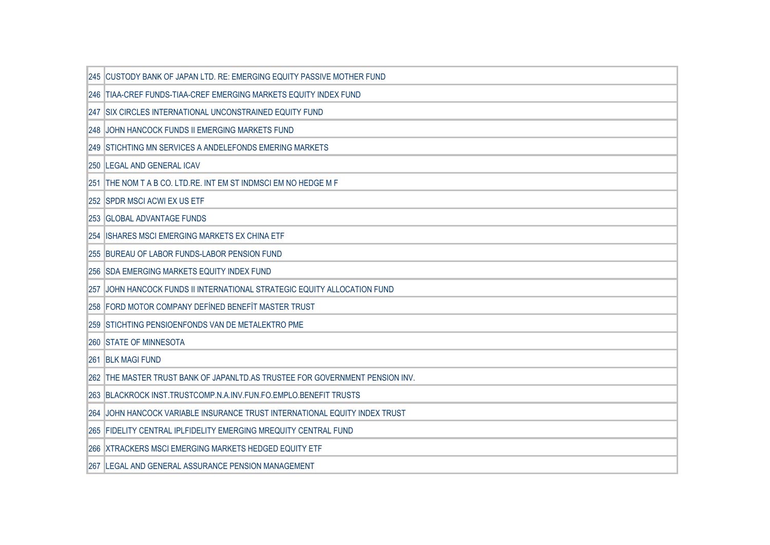|     | 245 CUSTODY BANK OF JAPAN LTD. RE: EMERGING EQUITY PASSIVE MOTHER FUND       |
|-----|------------------------------------------------------------------------------|
|     | 246 TIAA-CREF FUNDS-TIAA-CREF EMERGING MARKETS EQUITY INDEX FUND             |
|     | 247 SIX CIRCLES INTERNATIONAL UNCONSTRAINED EQUITY FUND                      |
|     | 248 JOHN HANCOCK FUNDS II EMERGING MARKETS FUND                              |
|     | 249 STICHTING MN SERVICES A ANDELEFONDS EMERING MARKETS                      |
|     | 250 LEGAL AND GENERAL ICAV                                                   |
|     | 251 THE NOM T A B CO. LTD.RE. INT EM ST INDMSCI EM NO HEDGE M F              |
|     | 252 SPDR MSCI ACWI EX US ETF                                                 |
| 253 | <b>GLOBAL ADVANTAGE FUNDS</b>                                                |
|     | 254  ISHARES MSCI EMERGING MARKETS EX CHINA ETF                              |
|     | 255 BUREAU OF LABOR FUNDS-LABOR PENSION FUND                                 |
|     | 256 SDA EMERGING MARKETS EQUITY INDEX FUND                                   |
| 257 | JJOHN HANCOCK FUNDS II INTERNATIONAL STRATEGIC EQUITY ALLOCATION FUND        |
|     | 258 FORD MOTOR COMPANY DEFINED BENEFIT MASTER TRUST                          |
|     | 259 STICHTING PENSIOENFONDS VAN DE METALEKTRO PME                            |
|     | <b>260 STATE OF MINNESOTA</b>                                                |
|     | <b>261 BLK MAGI FUND</b>                                                     |
|     | 262 THE MASTER TRUST BANK OF JAPANLTD.AS TRUSTEE FOR GOVERNMENT PENSION INV. |
|     | 263 BLACKROCK INST.TRUSTCOMP.N.A.INV.FUN.FO.EMPLO.BENEFIT TRUSTS             |
| 264 | JOHN HANCOCK VARIABLE INSURANCE TRUST INTERNATIONAL EQUITY INDEX TRUST       |
|     | 265 FIDELITY CENTRAL IPLFIDELITY EMERGING MREQUITY CENTRAL FUND              |
|     | 266 XTRACKERS MSCI EMERGING MARKETS HEDGED EQUITY ETF                        |
|     | 267 LEGAL AND GENERAL ASSURANCE PENSION MANAGEMENT                           |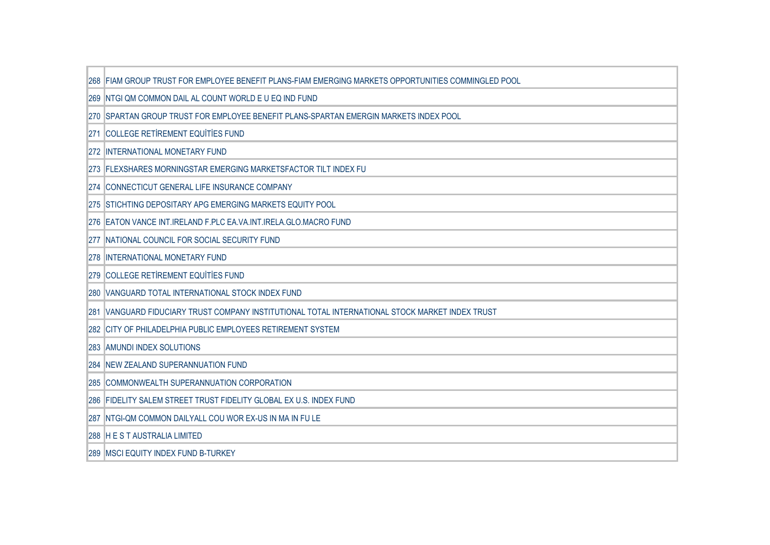|      | 268 FIAM GROUP TRUST FOR EMPLOYEE BENEFIT PLANS-FIAM EMERGING MARKETS OPPORTUNITIES COMMINGLED POOL |
|------|-----------------------------------------------------------------------------------------------------|
|      | 269 NTGI QM COMMON DAIL AL COUNT WORLD E U EQ IND FUND                                              |
|      | 270 SPARTAN GROUP TRUST FOR EMPLOYEE BENEFIT PLANS-SPARTAN EMERGIN MARKETS INDEX POOL               |
| 271  | <b>COLLEGE RETIREMENT EQUITIES FUND</b>                                                             |
|      | 272 INTERNATIONAL MONETARY FUND                                                                     |
|      | 273 FLEXSHARES MORNINGSTAR EMERGING MARKETSFACTOR TILT INDEX FU                                     |
|      | 274 CONNECTICUT GENERAL LIFE INSURANCE COMPANY                                                      |
|      | 275 STICHTING DEPOSITARY APG EMERGING MARKETS EQUITY POOL                                           |
|      | 276 EATON VANCE INT.IRELAND F.PLC EA.VA.INT.IRELA.GLO.MACRO FUND                                    |
|      | 277 NATIONAL COUNCIL FOR SOCIAL SECURITY FUND                                                       |
|      | <b>278 INTERNATIONAL MONETARY FUND</b>                                                              |
|      | 279 COLLEGE RETIREMENT EQUITIES FUND                                                                |
|      | 280 VANGUARD TOTAL INTERNATIONAL STOCK INDEX FUND                                                   |
| l281 | VANGUARD FIDUCIARY TRUST COMPANY INSTITUTIONAL TOTAL INTERNATIONAL STOCK MARKET INDEX TRUST         |
|      | 282 CITY OF PHILADELPHIA PUBLIC EMPLOYEES RETIREMENT SYSTEM                                         |
|      | 283 AMUNDI INDEX SOLUTIONS                                                                          |
|      | <b>284 INEW ZEALAND SUPERANNUATION FUND</b>                                                         |
|      | 285 COMMONWEALTH SUPERANNUATION CORPORATION                                                         |
|      | 286 FIDELITY SALEM STREET TRUST FIDELITY GLOBAL EX U.S. INDEX FUND                                  |
|      | 287 NTGI-QM COMMON DAILYALL COU WOR EX-US IN MA IN FU LE                                            |
|      | 288 HEST AUSTRALIA LIMITED                                                                          |
|      | 289 MSCI EQUITY INDEX FUND B-TURKEY                                                                 |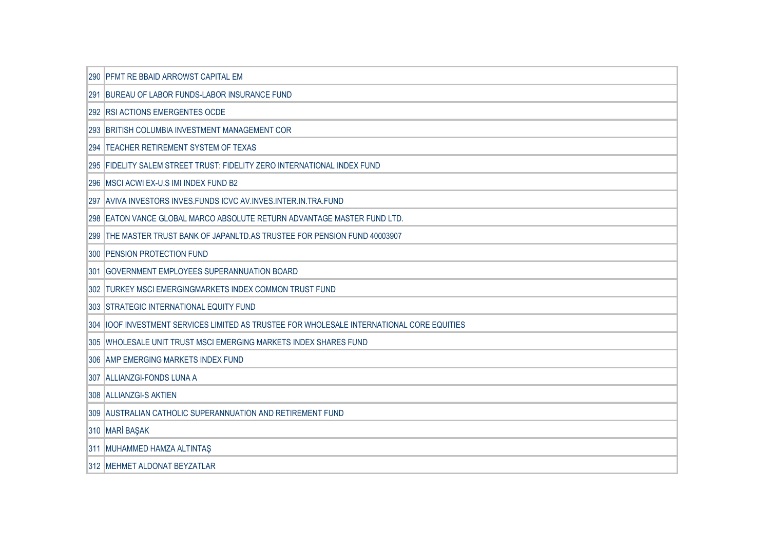| 290 PFMT RE BBAID ARROWST CAPITAL EM                                                       |
|--------------------------------------------------------------------------------------------|
| 291 BUREAU OF LABOR FUNDS-LABOR INSURANCE FUND                                             |
| 292 RSI ACTIONS EMERGENTES OCDE                                                            |
| 293 BRITISH COLUMBIA INVESTMENT MANAGEMENT COR                                             |
| 294 TEACHER RETIREMENT SYSTEM OF TEXAS                                                     |
| 295 FIDELITY SALEM STREET TRUST: FIDELITY ZERO INTERNATIONAL INDEX FUND                    |
| 296 MSCI ACWI EX-U.S IMI INDEX FUND B2                                                     |
| 297 AVIVA INVESTORS INVES. FUNDS ICVC AV. INVES. INTER. IN. TRA. FUND                      |
| 298 EATON VANCE GLOBAL MARCO ABSOLUTE RETURN ADVANTAGE MASTER FUND LTD.                    |
| 299 THE MASTER TRUST BANK OF JAPANLTD AS TRUSTEE FOR PENSION FUND 40003907                 |
| 300 PENSION PROTECTION FUND                                                                |
| 301 GOVERNMENT EMPLOYEES SUPERANNUATION BOARD                                              |
| 302 TURKEY MSCI EMERGINGMARKETS INDEX COMMON TRUST FUND                                    |
| 303 STRATEGIC INTERNATIONAL EQUITY FUND                                                    |
| 304  IOOF INVESTMENT SERVICES LIMITED AS TRUSTEE FOR WHOLESALE INTERNATIONAL CORE EQUITIES |
| 305 WHOLESALE UNIT TRUST MSCI EMERGING MARKETS INDEX SHARES FUND                           |
| 306 AMP EMERGING MARKETS INDEX FUND                                                        |
| 307 ALLIANZGI-FONDS LUNA A                                                                 |
| 308 ALLIANZGI-S AKTIEN                                                                     |
| 309 AUSTRALIAN CATHOLIC SUPERANNUATION AND RETIREMENT FUND                                 |
| 310 MARİ BAŞAK                                                                             |
| 311 MUHAMMED HAMZA ALTINTAŞ                                                                |
| 312 MEHMET ALDONAT BEYZATLAR                                                               |